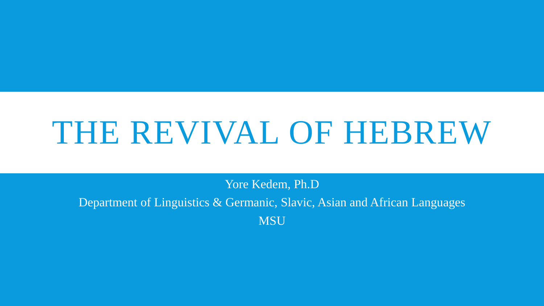# THE REVIVAL OF HEBREW

Yore Kedem, Ph.D

Department of Linguistics & Germanic, Slavic, Asian and African Languages **MSU**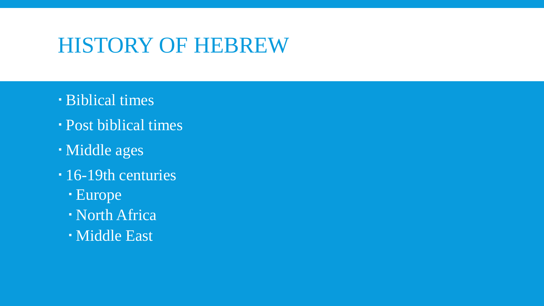### HISTORY OF HEBREW

- Biblical times
- Post biblical times
- Middle ages
- 16-19th centuries
	- Europe
	- North Africa
	- Middle East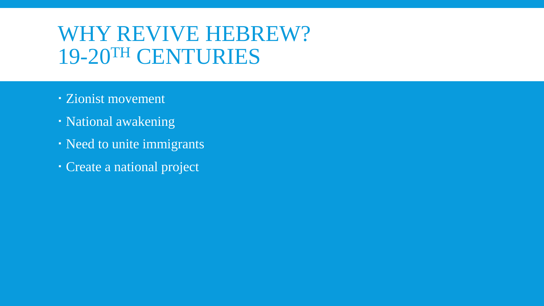### WHY REVIVE HEBREW? 19-20TH CENTURIES

- Zionist movement
- National awakening
- Need to unite immigrants
- Create a national project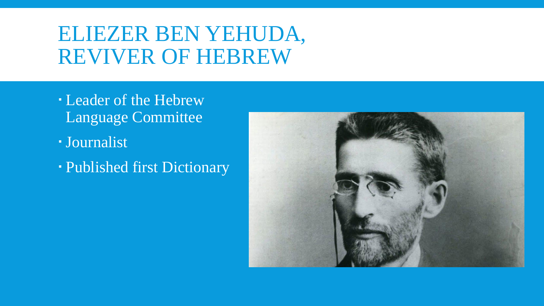### ELIEZER BEN YEHUDA, REVIVER OF HEBREW

- Leader of the Hebrew Language Committee
- Journalist
- Published first Dictionary

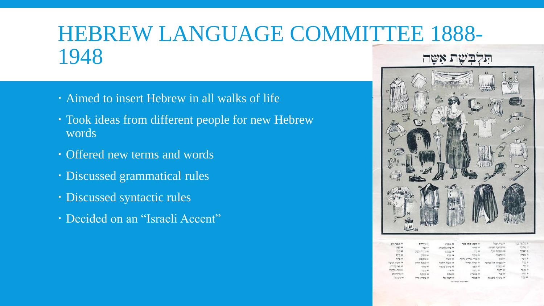#### HEBREW LANGUAGE COMMITTEE 1888- 1948 **HWN 5**

- Aimed to insert Hebrew in all walks of life
- Took ideas from different people for new Hebrew words
- Offered new terms and words
- · Discussed grammatical rules
- Discussed syntactic rules
- Decided on an "Israeli Accent"



| gent post-up 21. | 0772.46               | 245.95.21             | 199 000 000 H                  | how mo at          | 10.0000    |
|------------------|-----------------------|-----------------------|--------------------------------|--------------------|------------|
| 743.48           | 707.40                | <b>INDICT FILE ST</b> | 110 11                         | THOMAS POINTER AT  | 花花草        |
| 20214            | 2022.00               | $-7235638$            | 定义器                            | 7155 77800 88      | 7777       |
| 2708.44          | 202.46                | 772.04                | <b>Castle 14</b>               | PSECO IA           | 739        |
| ming 35          | <b>Gration</b> sky    | 79.77 35              | the first process of the first | 想性科                | $-20$      |
| Harden women be  | <b>STORY #</b>        | Factory Player RA     | the property of                | mondo Pal ECBOD IN | 学院         |
| Pimot Hwit 10    | ting et               | many group at         | TO H                           | <b>MARTIN 12</b>   | $\sim$     |
| 12070 702 49     | $-777.68$             | $-2$ 30               | 2020.00                        | 7077.19            | 52.72      |
| <b>SECTION</b>   | 2002018               | 228.99                | 20022-01                       | 10, 19             | <b>HAR</b> |
| <b>PETER AR</b>  | <b>The Charles</b> He | 700 Wars ##           | 1702.00                        | Patron Abbre 24    | 7023       |
|                  |                       |                       |                                |                    |            |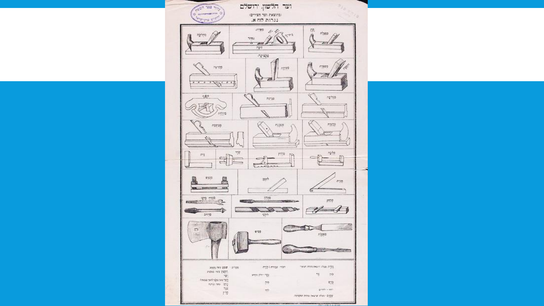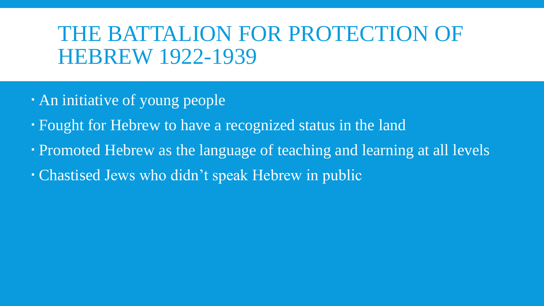### THE BATTALION FOR PROTECTION OF HEBREW 1922-1939

- An initiative of young people
- Fought for Hebrew to have a recognized status in the land
- Promoted Hebrew as the language of teaching and learning at all levels
- Chastised Jews who didn't speak Hebrew in public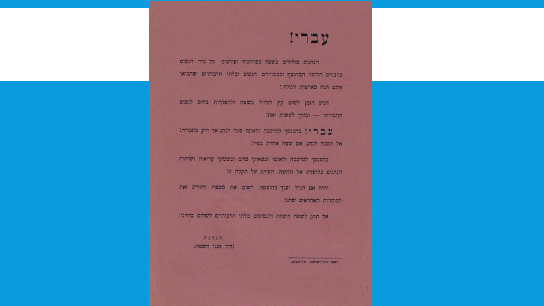

הנהגים מזלזלים בשפה בפרהפיה ופורצים כל נדר הגמוס ברבורם הלועזי המחוצף ובכטוייהם הנסים ובלתי תרבותיים שהביאי אתם הנה מארצות הגולה!

הגיע הזמן לשים קץ לזלזיל בשפה ולהפקרות ביחם לנמום ההברותי - ובידך לעשות זאת!

עם ר' ו בהכנסך למרכבה ולאיטו פנה לגהג אך ורק בעברית! אל תענה לנהג. אם שפה אחרה בפיו!

בהכנסך למרכבה ולאומו וכצאתך מהם וכשמעך קריאות ושיחות הנהגים בלועזות אל תחשה, העירם על תקלה זו!

והיה אם הגיל יענך בדוצפה. רשום את מספרו והודיע זאת למוסדות האחראים שלנו!

אל תתן לשפה לועזות ולנמוסים בלתי תרבותיים לשלוט בחיינו:

酒は酒は酒 נדוד מגני השפה.

ורשום איתן-שושני. חל-אביב.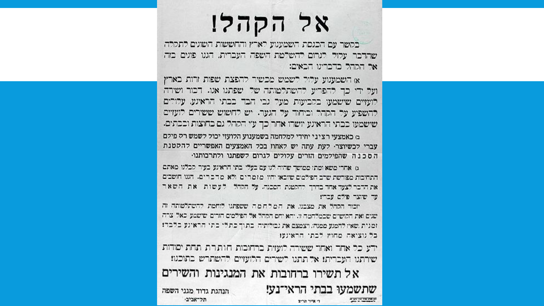## אל הקהל!

בקשר עם הכנסת השמענוע לארץ והחששות השונים לתקלה. שהדבר עלול לגרום להשלטת השפה העברית. הגנו פונים בזה אל הקהל כדברינו הבאים:

א השמענוע עלול לשמש מכשיר להפצת שפות זרות כארץ ועל ידי כך להפריע להשתלטותה של שפתנו אנו. דכור ושירה לועזיים שישמעו בקביעות מעל גבי הבד בבתי הראינע. עלורים להשפיע על הקהל וביחוד על הגער. יש לחשוש ששירים לועזיים שישמעו כבתי הראינע יושרו אחר כך עץ הקהל גם בחוצות וככתים. ם כאמצעי רציני יחידי למלחמה בשמענוע הלועזי יכול לשמש רק פילם עברי לכשיוצר לעת עתה יש לאחוז בכל האמצעים האפשריים להקטנת הסכנה שהפילמים הזרים עלולים לגרום לשפתנו ולתרבותנו

ג). אחרי משא ומתן ממושך שהיה לנו עם בעלי. בתי הראינע, בעיר, קבלנו, מאתם התחיבות מפורשת שרב הפילמים שיובאו יהיו מזמרים ולא מרכרים. הגנו חושבים את הרבר לצעד אחד בדרך קהקטנת הסבנה. על הקהל לעשות את השאר עד שוצר פילם עבריו

וכור הכהל את מצבנו. את המלחמה ששפתנו לוחמת קהשתלטותה זה שנים ואת הקושים שבמלחמה זו. יהא יחס הקהל אל הפילמים הזרים שישמע כאל צרה. זמנית שאיז להמגע ממנה: ויצמצם את נכולותיה. כתוך כתלי כתי הראינע כלכדז בל נוציאה מחוץ לכתי הראינעו

ידע כל אחד ואחד ששירה לועזית ברחובות חזותרת תחת יסודות. שירתנו העברית: אך תתנו לשירים הלועזיים להשתרש בתוכנו:

אל תשירו ברחובות את המנגינות והשירים שתשמעו בבתי הראי־נע! הנהגת גדוד מגני השפה תל־אביב **START OF THE PRESS** די אייר תריצ